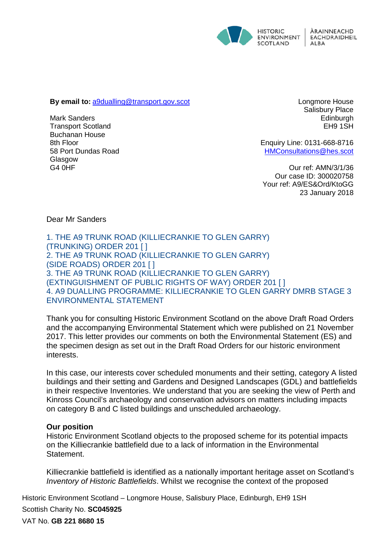

**By email to:** [a9dualling@transport.gov.scot](mailto:a9dualling@transport.gov.scot)

Mark Sanders Transport Scotland Buchanan House 8th Floor 58 Port Dundas Road Glasgow G4 0HF

Longmore House Salisbury Place Edinburgh EH9 1SH

Enquiry Line: 0131-668-8716 [HMConsultations@hes.scot](mailto:HMConsultations@hes.scot) 

Our ref: AMN/3/1/36 Our case ID: 300020758 Your ref: A9/ES&Ord/KtoGG 23 January 2018

Dear Mr Sanders

1. THE A9 TRUNK ROAD (KILLIECRANKIE TO GLEN GARRY) (TRUNKING) ORDER 201 [ ] 2. THE A9 TRUNK ROAD (KILLIECRANKIE TO GLEN GARRY) (SIDE ROADS) ORDER 201 [ ] 3. THE A9 TRUNK ROAD (KILLIECRANKIE TO GLEN GARRY) (EXTINGUISHMENT OF PUBLIC RIGHTS OF WAY) ORDER 201 [ ] 4. A9 DUALLING PROGRAMME: KILLIECRANKIE TO GLEN GARRY DMRB STAGE 3 ENVIRONMENTAL STATEMENT

Thank you for consulting Historic Environment Scotland on the above Draft Road Orders and the accompanying Environmental Statement which were published on 21 November 2017. This letter provides our comments on both the Environmental Statement (ES) and the specimen design as set out in the Draft Road Orders for our historic environment interests.

In this case, our interests cover scheduled monuments and their setting, category A listed buildings and their setting and Gardens and Designed Landscapes (GDL) and battlefields in their respective Inventories. We understand that you are seeking the view of Perth and Kinross Council's archaeology and conservation advisors on matters including impacts on category B and C listed buildings and unscheduled archaeology.

#### **Our position**

Historic Environment Scotland objects to the proposed scheme for its potential impacts on the Killiecrankie battlefield due to a lack of information in the Environmental Statement.

Killiecrankie battlefield is identified as a nationally important heritage asset on Scotland's *Inventory of Historic Battlefields*. Whilst we recognise the context of the proposed

Historic Environment Scotland – Longmore House, Salisbury Place, Edinburgh, EH9 1SH Scottish Charity No. **SC045925**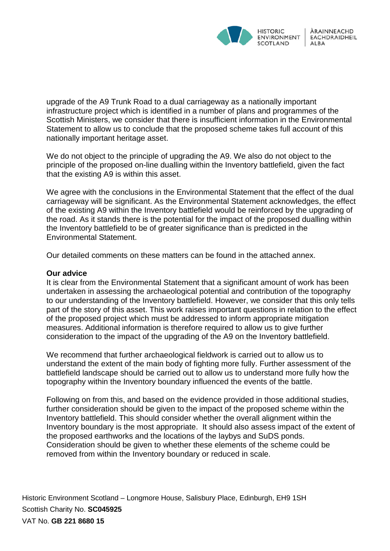

upgrade of the A9 Trunk Road to a dual carriageway as a nationally important infrastructure project which is identified in a number of plans and programmes of the Scottish Ministers, we consider that there is insufficient information in the Environmental Statement to allow us to conclude that the proposed scheme takes full account of this nationally important heritage asset.

We do not object to the principle of upgrading the A9. We also do not object to the principle of the proposed on-line dualling within the Inventory battlefield, given the fact that the existing A9 is within this asset.

We agree with the conclusions in the Environmental Statement that the effect of the dual carriageway will be significant. As the Environmental Statement acknowledges, the effect of the existing A9 within the Inventory battlefield would be reinforced by the upgrading of the road. As it stands there is the potential for the impact of the proposed dualling within the Inventory battlefield to be of greater significance than is predicted in the Environmental Statement.

Our detailed comments on these matters can be found in the attached annex.

#### **Our advice**

It is clear from the Environmental Statement that a significant amount of work has been undertaken in assessing the archaeological potential and contribution of the topography to our understanding of the Inventory battlefield. However, we consider that this only tells part of the story of this asset. This work raises important questions in relation to the effect of the proposed project which must be addressed to inform appropriate mitigation measures. Additional information is therefore required to allow us to give further consideration to the impact of the upgrading of the A9 on the Inventory battlefield.

We recommend that further archaeological fieldwork is carried out to allow us to understand the extent of the main body of fighting more fully. Further assessment of the battlefield landscape should be carried out to allow us to understand more fully how the topography within the Inventory boundary influenced the events of the battle.

Following on from this, and based on the evidence provided in those additional studies, further consideration should be given to the impact of the proposed scheme within the Inventory battlefield. This should consider whether the overall alignment within the Inventory boundary is the most appropriate. It should also assess impact of the extent of the proposed earthworks and the locations of the laybys and SuDS ponds. Consideration should be given to whether these elements of the scheme could be removed from within the Inventory boundary or reduced in scale.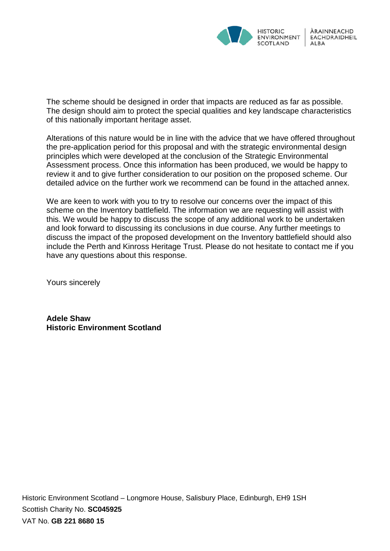

The scheme should be designed in order that impacts are reduced as far as possible. The design should aim to protect the special qualities and key landscape characteristics of this nationally important heritage asset.

Alterations of this nature would be in line with the advice that we have offered throughout the pre-application period for this proposal and with the strategic environmental design principles which were developed at the conclusion of the Strategic Environmental Assessment process. Once this information has been produced, we would be happy to review it and to give further consideration to our position on the proposed scheme. Our detailed advice on the further work we recommend can be found in the attached annex.

We are keen to work with you to try to resolve our concerns over the impact of this scheme on the Inventory battlefield. The information we are requesting will assist with this. We would be happy to discuss the scope of any additional work to be undertaken and look forward to discussing its conclusions in due course. Any further meetings to discuss the impact of the proposed development on the Inventory battlefield should also include the Perth and Kinross Heritage Trust. Please do not hesitate to contact me if you have any questions about this response.

Yours sincerely

**Adele Shaw Historic Environment Scotland**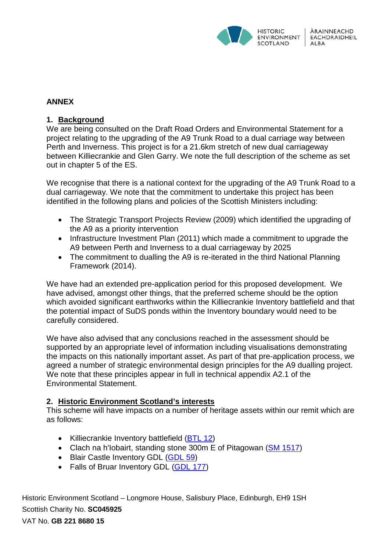

## **ANNEX**

#### **1. Background**

We are being consulted on the Draft Road Orders and Environmental Statement for a project relating to the upgrading of the A9 Trunk Road to a dual carriage way between Perth and Inverness. This project is for a 21.6km stretch of new dual carriageway between Killiecrankie and Glen Garry. We note the full description of the scheme as set out in chapter 5 of the ES.

We recognise that there is a national context for the upgrading of the A9 Trunk Road to a dual carriageway. We note that the commitment to undertake this project has been identified in the following plans and policies of the Scottish Ministers including:

- The Strategic Transport Projects Review (2009) which identified the upgrading of the A9 as a priority intervention
- Infrastructure Investment Plan (2011) which made a commitment to upgrade the A9 between Perth and Inverness to a dual carriageway by 2025
- The commitment to dualling the A9 is re-iterated in the third National Planning Framework (2014).

We have had an extended pre-application period for this proposed development. We have advised, amongst other things, that the preferred scheme should be the option which avoided significant earthworks within the Killiecrankie Inventory battlefield and that the potential impact of SuDS ponds within the Inventory boundary would need to be carefully considered.

We have also advised that any conclusions reached in the assessment should be supported by an appropriate level of information including visualisations demonstrating the impacts on this nationally important asset. As part of that pre-application process, we agreed a number of strategic environmental design principles for the A9 dualling project. We note that these principles appear in full in technical appendix A2.1 of the Environmental Statement.

### **2. Historic Environment Scotland's interests**

This scheme will have impacts on a number of heritage assets within our remit which are as follows:

- Killiecrankie Inventory battlefield [\(BTL 12\)](http://portal.historicenvironment.scot/designation/BTL12)
- Clach na h'Iobairt, standing stone 300m E of Pitagowan (SM [1517\)](http://portal.historicenvironment.scot/designation/SM1517)
- Blair Castle Inventory GDL [\(GDL 59\)](http://portal.historicenvironment.scot/designation/GDL00059)
- Falls of Bruar Inventory GDL [\(GDL 177\)](file://HES.SCOT/SharedData/DCGroup_LH1/Heritage/HMS/Casework/300020758/draft%20Road%20Orders%20and%20ES%20consultation/GDL%20177)

Historic Environment Scotland – Longmore House, Salisbury Place, Edinburgh, EH9 1SH Scottish Charity No. **SC045925**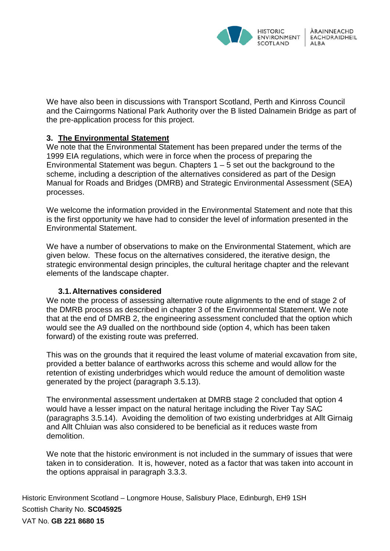

We have also been in discussions with Transport Scotland, Perth and Kinross Council and the Cairngorms National Park Authority over the B listed Dalnamein Bridge as part of the pre-application process for this project.

### **3. The Environmental Statement**

We note that the Environmental Statement has been prepared under the terms of the 1999 EIA regulations, which were in force when the process of preparing the Environmental Statement was begun. Chapters  $1 - 5$  set out the background to the scheme, including a description of the alternatives considered as part of the Design Manual for Roads and Bridges (DMRB) and Strategic Environmental Assessment (SEA) processes.

We welcome the information provided in the Environmental Statement and note that this is the first opportunity we have had to consider the level of information presented in the Environmental Statement.

We have a number of observations to make on the Environmental Statement, which are given below. These focus on the alternatives considered, the iterative design, the strategic environmental design principles, the cultural heritage chapter and the relevant elements of the landscape chapter.

# **3.1.Alternatives considered**

We note the process of assessing alternative route alignments to the end of stage 2 of the DMRB process as described in chapter 3 of the Environmental Statement. We note that at the end of DMRB 2, the engineering assessment concluded that the option which would see the A9 dualled on the northbound side (option 4, which has been taken forward) of the existing route was preferred.

This was on the grounds that it required the least volume of material excavation from site, provided a better balance of earthworks across this scheme and would allow for the retention of existing underbridges which would reduce the amount of demolition waste generated by the project (paragraph 3.5.13).

The environmental assessment undertaken at DMRB stage 2 concluded that option 4 would have a lesser impact on the natural heritage including the River Tay SAC (paragraphs 3.5.14). Avoiding the demolition of two existing underbridges at Allt Girnaig and Allt Chluian was also considered to be beneficial as it reduces waste from demolition.

We note that the historic environment is not included in the summary of issues that were taken in to consideration. It is, however, noted as a factor that was taken into account in the options appraisal in paragraph 3.3.3.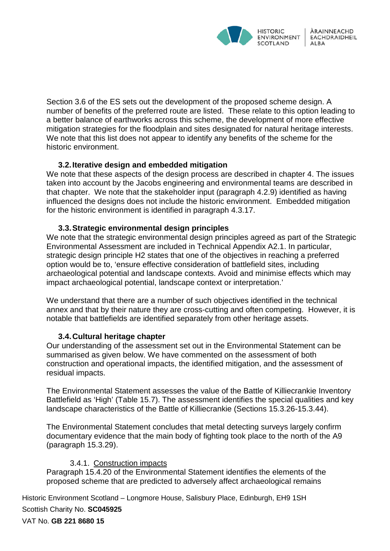

Section 3.6 of the ES sets out the development of the proposed scheme design. A number of benefits of the preferred route are listed. These relate to this option leading to a better balance of earthworks across this scheme, the development of more effective mitigation strategies for the floodplain and sites designated for natural heritage interests. We note that this list does not appear to identify any benefits of the scheme for the historic environment.

### **3.2.Iterative design and embedded mitigation**

We note that these aspects of the design process are described in chapter 4. The issues taken into account by the Jacobs engineering and environmental teams are described in that chapter. We note that the stakeholder input (paragraph 4.2.9) identified as having influenced the designs does not include the historic environment. Embedded mitigation for the historic environment is identified in paragraph 4.3.17.

#### **3.3.Strategic environmental design principles**

We note that the strategic environmental design principles agreed as part of the Strategic Environmental Assessment are included in Technical Appendix A2.1. In particular, strategic design principle H2 states that one of the objectives in reaching a preferred option would be to, 'ensure effective consideration of battlefield sites, including archaeological potential and landscape contexts. Avoid and minimise effects which may impact archaeological potential, landscape context or interpretation.'

We understand that there are a number of such objectives identified in the technical annex and that by their nature they are cross-cutting and often competing. However, it is notable that battlefields are identified separately from other heritage assets.

### **3.4.Cultural heritage chapter**

Our understanding of the assessment set out in the Environmental Statement can be summarised as given below. We have commented on the assessment of both construction and operational impacts, the identified mitigation, and the assessment of residual impacts.

The Environmental Statement assesses the value of the Battle of Killiecrankie Inventory Battlefield as 'High' (Table 15.7). The assessment identifies the special qualities and key landscape characteristics of the Battle of Killiecrankie (Sections 15.3.26-15.3.44).

The Environmental Statement concludes that metal detecting surveys largely confirm documentary evidence that the main body of fighting took place to the north of the A9 (paragraph 15.3.29).

### 3.4.1. Construction impacts

Paragraph 15.4.20 of the Environmental Statement identifies the elements of the proposed scheme that are predicted to adversely affect archaeological remains

Historic Environment Scotland – Longmore House, Salisbury Place, Edinburgh, EH9 1SH Scottish Charity No. **SC045925**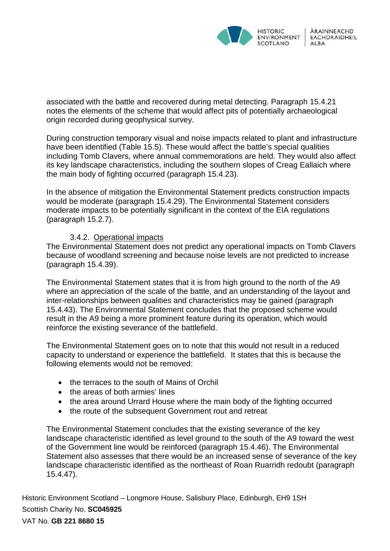

associated with the battle and recovered during metal detecting. Paragraph 15.4.21 notes the elements of the scheme that would affect pits of potentially archaeological origin recorded during geophysical survey.

During construction temporary visual and noise impacts related to plant and infrastructure have been identified (Table 15.5). These would affect the battle's special qualities including Tomb Clavers, where annual commemorations are held. They would also affect its key landscape characteristics, including the southern slopes of Creag Eallaich where the main body of fighting occurred (paragraph 15.4.23).

In the absence of mitigation the Environmental Statement predicts construction impacts would be moderate (paragraph 15.4.29). The Environmental Statement considers moderate impacts to be potentially significant in the context of the EIA regulations (paragraph 15.2.7).

### 3.4.2. Operational impacts

The Environmental Statement does not predict any operational impacts on Tomb Clavers because of woodland screening and because noise levels are not predicted to increase (paragraph 15.4.39).

The Environmental Statement states that it is from high ground to the north of the A9 where an appreciation of the scale of the battle, and an understanding of the layout and inter-relationships between qualities and characteristics may be gained (paragraph 15.4.43). The Environmental Statement concludes that the proposed scheme would result in the A9 being a more prominent feature during its operation, which would reinforce the existing severance of the battlefield.

The Environmental Statement goes on to note that this would not result in a reduced capacity to understand or experience the battlefield. It states that this is because the following elements would not be removed:

- the terraces to the south of Mains of Orchil
- the areas of both armies' lines
- the area around Urrard House where the main body of the fighting occurred
- the route of the subsequent Government rout and retreat

The Environmental Statement concludes that the existing severance of the key landscape characteristic identified as level ground to the south of the A9 toward the west of the Government line would be reinforced (paragraph 15.4.46). The Environmental Statement also assesses that there would be an increased sense of severance of the key landscape characteristic identified as the northeast of Roan Ruarridh redoubt (paragraph 15.4.47).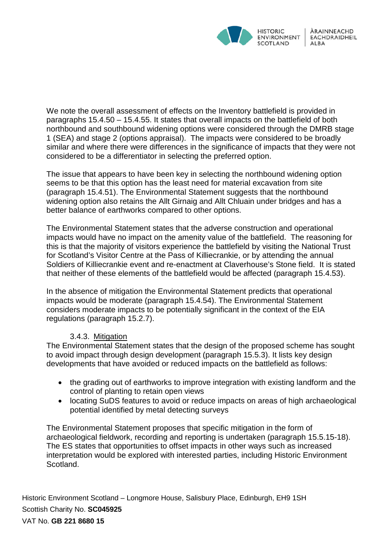

We note the overall assessment of effects on the Inventory battlefield is provided in paragraphs 15.4.50 – 15.4.55. It states that overall impacts on the battlefield of both northbound and southbound widening options were considered through the DMRB stage 1 (SEA) and stage 2 (options appraisal). The impacts were considered to be broadly similar and where there were differences in the significance of impacts that they were not considered to be a differentiator in selecting the preferred option.

The issue that appears to have been key in selecting the northbound widening option seems to be that this option has the least need for material excavation from site (paragraph 15.4.51). The Environmental Statement suggests that the northbound widening option also retains the Allt Girnaig and Allt Chluain under bridges and has a better balance of earthworks compared to other options.

The Environmental Statement states that the adverse construction and operational impacts would have no impact on the amenity value of the battlefield. The reasoning for this is that the majority of visitors experience the battlefield by visiting the National Trust for Scotland's Visitor Centre at the Pass of Killiecrankie, or by attending the annual Soldiers of Killiecrankie event and re-enactment at Claverhouse's Stone field. It is stated that neither of these elements of the battlefield would be affected (paragraph 15.4.53).

In the absence of mitigation the Environmental Statement predicts that operational impacts would be moderate (paragraph 15.4.54). The Environmental Statement considers moderate impacts to be potentially significant in the context of the EIA regulations (paragraph 15.2.7).

### 3.4.3. Mitigation

The Environmental Statement states that the design of the proposed scheme has sought to avoid impact through design development (paragraph 15.5.3). It lists key design developments that have avoided or reduced impacts on the battlefield as follows:

- the grading out of earthworks to improve integration with existing landform and the control of planting to retain open views
- locating SuDS features to avoid or reduce impacts on areas of high archaeological potential identified by metal detecting surveys

The Environmental Statement proposes that specific mitigation in the form of archaeological fieldwork, recording and reporting is undertaken (paragraph 15.5.15-18). The ES states that opportunities to offset impacts in other ways such as increased interpretation would be explored with interested parties, including Historic Environment Scotland.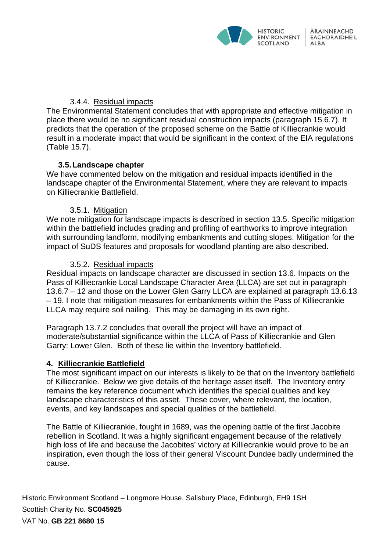

### 3.4.4. Residual impacts

The Environmental Statement concludes that with appropriate and effective mitigation in place there would be no significant residual construction impacts (paragraph 15.6.7). It predicts that the operation of the proposed scheme on the Battle of Killiecrankie would result in a moderate impact that would be significant in the context of the EIA regulations (Table 15.7).

### **3.5.Landscape chapter**

We have commented below on the mitigation and residual impacts identified in the landscape chapter of the Environmental Statement, where they are relevant to impacts on Killiecrankie Battlefield.

### 3.5.1. Mitigation

We note mitigation for landscape impacts is described in section 13.5. Specific mitigation within the battlefield includes grading and profiling of earthworks to improve integration with surrounding landform, modifying embankments and cutting slopes. Mitigation for the impact of SuDS features and proposals for woodland planting are also described.

### 3.5.2. Residual impacts

Residual impacts on landscape character are discussed in section 13.6. Impacts on the Pass of Killiecrankie Local Landscape Character Area (LLCA) are set out in paragraph 13.6.7 – 12 and those on the Lower Glen Garry LLCA are explained at paragraph 13.6.13 – 19. I note that mitigation measures for embankments within the Pass of Killiecrankie LLCA may require soil nailing. This may be damaging in its own right.

Paragraph 13.7.2 concludes that overall the project will have an impact of moderate/substantial significance within the LLCA of Pass of Killiecrankie and Glen Garry: Lower Glen. Both of these lie within the Inventory battlefield.

### **4. Killiecrankie Battlefield**

The most significant impact on our interests is likely to be that on the Inventory battlefield of Killiecrankie. Below we give details of the heritage asset itself. The Inventory entry remains the key reference document which identifies the special qualities and key landscape characteristics of this asset. These cover, where relevant, the location, events, and key landscapes and special qualities of the battlefield.

The Battle of Killiecrankie, fought in 1689, was the opening battle of the first Jacobite rebellion in Scotland. It was a highly significant engagement because of the relatively high loss of life and because the Jacobites' victory at Killiecrankie would prove to be an inspiration, even though the loss of their general Viscount Dundee badly undermined the cause.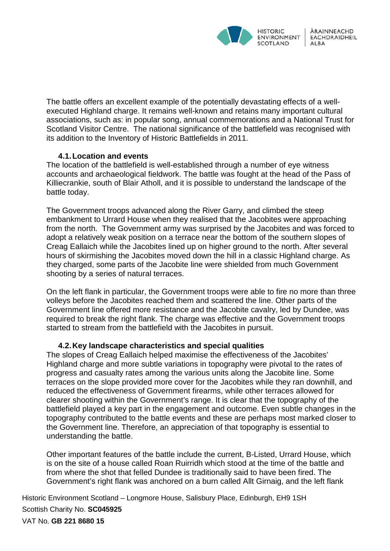

The battle offers an excellent example of the potentially devastating effects of a wellexecuted Highland charge. It remains well-known and retains many important cultural associations, such as: in popular song, annual commemorations and a National Trust for Scotland Visitor Centre. The national significance of the battlefield was recognised with its addition to the Inventory of Historic Battlefields in 2011.

### **4.1.Location and events**

The location of the battlefield is well-established through a number of eye witness accounts and archaeological fieldwork. The battle was fought at the head of the Pass of Killiecrankie, south of Blair Atholl, and it is possible to understand the landscape of the battle today.

The Government troops advanced along the River Garry, and climbed the steep embankment to Urrard House when they realised that the Jacobites were approaching from the north. The Government army was surprised by the Jacobites and was forced to adopt a relatively weak position on a terrace near the bottom of the southern slopes of Creag Eallaich while the Jacobites lined up on higher ground to the north. After several hours of skirmishing the Jacobites moved down the hill in a classic Highland charge. As they charged, some parts of the Jacobite line were shielded from much Government shooting by a series of natural terraces.

On the left flank in particular, the Government troops were able to fire no more than three volleys before the Jacobites reached them and scattered the line. Other parts of the Government line offered more resistance and the Jacobite cavalry, led by Dundee, was required to break the right flank. The charge was effective and the Government troops started to stream from the battlefield with the Jacobites in pursuit.

### **4.2.Key landscape characteristics and special qualities**

The slopes of Creag Eallaich helped maximise the effectiveness of the Jacobites' Highland charge and more subtle variations in topography were pivotal to the rates of progress and casualty rates among the various units along the Jacobite line. Some terraces on the slope provided more cover for the Jacobites while they ran downhill, and reduced the effectiveness of Government firearms, while other terraces allowed for clearer shooting within the Government's range. It is clear that the topography of the battlefield played a key part in the engagement and outcome. Even subtle changes in the topography contributed to the battle events and these are perhaps most marked closer to the Government line. Therefore, an appreciation of that topography is essential to understanding the battle.

Other important features of the battle include the current, B-Listed, Urrard House, which is on the site of a house called Roan Ruirridh which stood at the time of the battle and from where the shot that felled Dundee is traditionally said to have been fired. The Government's right flank was anchored on a burn called Allt Girnaig, and the left flank

Historic Environment Scotland – Longmore House, Salisbury Place, Edinburgh, EH9 1SH Scottish Charity No. **SC045925**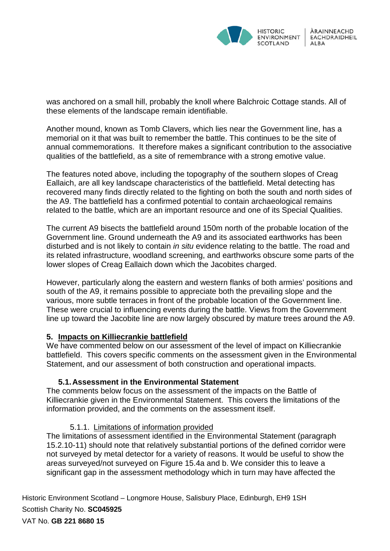

was anchored on a small hill, probably the knoll where Balchroic Cottage stands. All of these elements of the landscape remain identifiable.

Another mound, known as Tomb Clavers, which lies near the Government line, has a memorial on it that was built to remember the battle. This continues to be the site of annual commemorations. It therefore makes a significant contribution to the associative qualities of the battlefield, as a site of remembrance with a strong emotive value.

The features noted above, including the topography of the southern slopes of Creag Eallaich, are all key landscape characteristics of the battlefield. Metal detecting has recovered many finds directly related to the fighting on both the south and north sides of the A9. The battlefield has a confirmed potential to contain archaeological remains related to the battle, which are an important resource and one of its Special Qualities.

The current A9 bisects the battlefield around 150m north of the probable location of the Government line. Ground underneath the A9 and its associated earthworks has been disturbed and is not likely to contain *in situ* evidence relating to the battle. The road and its related infrastructure, woodland screening, and earthworks obscure some parts of the lower slopes of Creag Eallaich down which the Jacobites charged.

However, particularly along the eastern and western flanks of both armies' positions and south of the A9, it remains possible to appreciate both the prevailing slope and the various, more subtle terraces in front of the probable location of the Government line. These were crucial to influencing events during the battle. Views from the Government line up toward the Jacobite line are now largely obscured by mature trees around the A9.

### **5. Impacts on Killiecrankie battlefield**

We have commented below on our assessment of the level of impact on Killiecrankie battlefield. This covers specific comments on the assessment given in the Environmental Statement, and our assessment of both construction and operational impacts.

### **5.1.Assessment in the Environmental Statement**

The comments below focus on the assessment of the impacts on the Battle of Killiecrankie given in the Environmental Statement. This covers the limitations of the information provided, and the comments on the assessment itself.

### 5.1.1. Limitations of information provided

The limitations of assessment identified in the Environmental Statement (paragraph 15.2.10-11) should note that relatively substantial portions of the defined corridor were not surveyed by metal detector for a variety of reasons. It would be useful to show the areas surveyed/not surveyed on Figure 15.4a and b. We consider this to leave a significant gap in the assessment methodology which in turn may have affected the

Historic Environment Scotland – Longmore House, Salisbury Place, Edinburgh, EH9 1SH Scottish Charity No. **SC045925**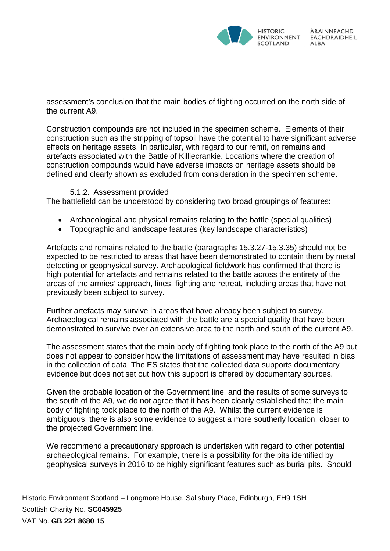

assessment's conclusion that the main bodies of fighting occurred on the north side of the current A9.

Construction compounds are not included in the specimen scheme. Elements of their construction such as the stripping of topsoil have the potential to have significant adverse effects on heritage assets. In particular, with regard to our remit, on remains and artefacts associated with the Battle of Killiecrankie. Locations where the creation of construction compounds would have adverse impacts on heritage assets should be defined and clearly shown as excluded from consideration in the specimen scheme.

### 5.1.2. Assessment provided

The battlefield can be understood by considering two broad groupings of features:

- Archaeological and physical remains relating to the battle (special qualities)
- Topographic and landscape features (key landscape characteristics)

Artefacts and remains related to the battle (paragraphs 15.3.27-15.3.35) should not be expected to be restricted to areas that have been demonstrated to contain them by metal detecting or geophysical survey. Archaeological fieldwork has confirmed that there is high potential for artefacts and remains related to the battle across the entirety of the areas of the armies' approach, lines, fighting and retreat, including areas that have not previously been subject to survey.

Further artefacts may survive in areas that have already been subject to survey. Archaeological remains associated with the battle are a special quality that have been demonstrated to survive over an extensive area to the north and south of the current A9.

The assessment states that the main body of fighting took place to the north of the A9 but does not appear to consider how the limitations of assessment may have resulted in bias in the collection of data. The ES states that the collected data supports documentary evidence but does not set out how this support is offered by documentary sources.

Given the probable location of the Government line, and the results of some surveys to the south of the A9, we do not agree that it has been clearly established that the main body of fighting took place to the north of the A9. Whilst the current evidence is ambiguous, there is also some evidence to suggest a more southerly location, closer to the projected Government line.

We recommend a precautionary approach is undertaken with regard to other potential archaeological remains. For example, there is a possibility for the pits identified by geophysical surveys in 2016 to be highly significant features such as burial pits. Should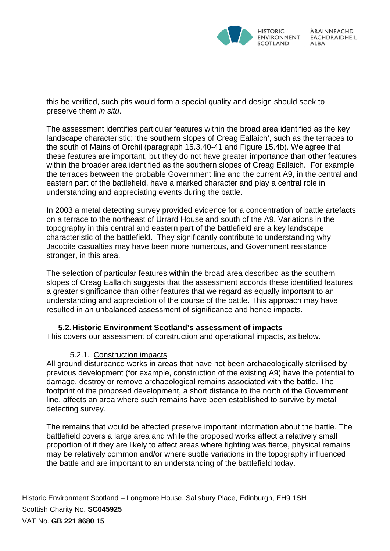

this be verified, such pits would form a special quality and design should seek to preserve them *in situ*.

The assessment identifies particular features within the broad area identified as the key landscape characteristic: 'the southern slopes of Creag Eallaich', such as the terraces to the south of Mains of Orchil (paragraph 15.3.40-41 and Figure 15.4b). We agree that these features are important, but they do not have greater importance than other features within the broader area identified as the southern slopes of Creag Eallaich. For example, the terraces between the probable Government line and the current A9, in the central and eastern part of the battlefield, have a marked character and play a central role in understanding and appreciating events during the battle.

In 2003 a metal detecting survey provided evidence for a concentration of battle artefacts on a terrace to the northeast of Urrard House and south of the A9. Variations in the topography in this central and eastern part of the battlefield are a key landscape characteristic of the battlefield. They significantly contribute to understanding why Jacobite casualties may have been more numerous, and Government resistance stronger, in this area.

The selection of particular features within the broad area described as the southern slopes of Creag Eallaich suggests that the assessment accords these identified features a greater significance than other features that we regard as equally important to an understanding and appreciation of the course of the battle. This approach may have resulted in an unbalanced assessment of significance and hence impacts.

### **5.2.Historic Environment Scotland's assessment of impacts**

This covers our assessment of construction and operational impacts, as below.

### 5.2.1. Construction impacts

All ground disturbance works in areas that have not been archaeologically sterilised by previous development (for example, construction of the existing A9) have the potential to damage, destroy or remove archaeological remains associated with the battle. The footprint of the proposed development, a short distance to the north of the Government line, affects an area where such remains have been established to survive by metal detecting survey.

The remains that would be affected preserve important information about the battle. The battlefield covers a large area and while the proposed works affect a relatively small proportion of it they are likely to affect areas where fighting was fierce, physical remains may be relatively common and/or where subtle variations in the topography influenced the battle and are important to an understanding of the battlefield today.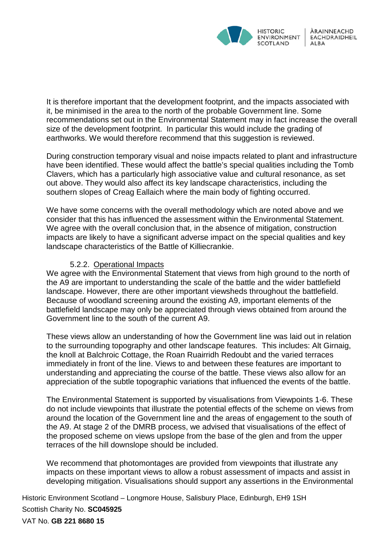

It is therefore important that the development footprint, and the impacts associated with it, be minimised in the area to the north of the probable Government line. Some recommendations set out in the Environmental Statement may in fact increase the overall size of the development footprint. In particular this would include the grading of earthworks. We would therefore recommend that this suggestion is reviewed.

During construction temporary visual and noise impacts related to plant and infrastructure have been identified. These would affect the battle's special qualities including the Tomb Clavers, which has a particularly high associative value and cultural resonance, as set out above. They would also affect its key landscape characteristics, including the southern slopes of Creag Eallaich where the main body of fighting occurred.

We have some concerns with the overall methodology which are noted above and we consider that this has influenced the assessment within the Environmental Statement. We agree with the overall conclusion that, in the absence of mitigation, construction impacts are likely to have a significant adverse impact on the special qualities and key landscape characteristics of the Battle of Killiecrankie.

### 5.2.2. Operational Impacts

We agree with the Environmental Statement that views from high ground to the north of the A9 are important to understanding the scale of the battle and the wider battlefield landscape. However, there are other important viewsheds throughout the battlefield. Because of woodland screening around the existing A9, important elements of the battlefield landscape may only be appreciated through views obtained from around the Government line to the south of the current A9.

These views allow an understanding of how the Government line was laid out in relation to the surrounding topography and other landscape features. This includes: Alt Girnaig, the knoll at Balchroic Cottage, the Roan Ruairridh Redoubt and the varied terraces immediately in front of the line. Views to and between these features are important to understanding and appreciating the course of the battle. These views also allow for an appreciation of the subtle topographic variations that influenced the events of the battle.

The Environmental Statement is supported by visualisations from Viewpoints 1-6. These do not include viewpoints that illustrate the potential effects of the scheme on views from around the location of the Government line and the areas of engagement to the south of the A9. At stage 2 of the DMRB process, we advised that visualisations of the effect of the proposed scheme on views upslope from the base of the glen and from the upper terraces of the hill downslope should be included.

We recommend that photomontages are provided from viewpoints that illustrate any impacts on these important views to allow a robust assessment of impacts and assist in developing mitigation. Visualisations should support any assertions in the Environmental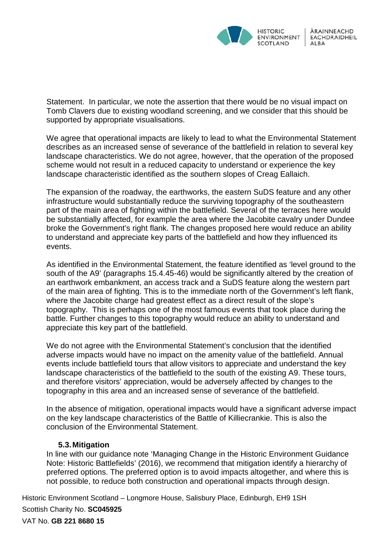

Statement. In particular, we note the assertion that there would be no visual impact on Tomb Clavers due to existing woodland screening, and we consider that this should be supported by appropriate visualisations.

We agree that operational impacts are likely to lead to what the Environmental Statement describes as an increased sense of severance of the battlefield in relation to several key landscape characteristics. We do not agree, however, that the operation of the proposed scheme would not result in a reduced capacity to understand or experience the key landscape characteristic identified as the southern slopes of Creag Eallaich.

The expansion of the roadway, the earthworks, the eastern SuDS feature and any other infrastructure would substantially reduce the surviving topography of the southeastern part of the main area of fighting within the battlefield. Several of the terraces here would be substantially affected, for example the area where the Jacobite cavalry under Dundee broke the Government's right flank. The changes proposed here would reduce an ability to understand and appreciate key parts of the battlefield and how they influenced its events.

As identified in the Environmental Statement, the feature identified as 'level ground to the south of the A9' (paragraphs 15.4.45-46) would be significantly altered by the creation of an earthwork embankment, an access track and a SuDS feature along the western part of the main area of fighting. This is to the immediate north of the Government's left flank, where the Jacobite charge had greatest effect as a direct result of the slope's topography. This is perhaps one of the most famous events that took place during the battle. Further changes to this topography would reduce an ability to understand and appreciate this key part of the battlefield.

We do not agree with the Environmental Statement's conclusion that the identified adverse impacts would have no impact on the amenity value of the battlefield. Annual events include battlefield tours that allow visitors to appreciate and understand the key landscape characteristics of the battlefield to the south of the existing A9. These tours, and therefore visitors' appreciation, would be adversely affected by changes to the topography in this area and an increased sense of severance of the battlefield.

In the absence of mitigation, operational impacts would have a significant adverse impact on the key landscape characteristics of the Battle of Killiecrankie. This is also the conclusion of the Environmental Statement.

### **5.3.Mitigation**

In line with our guidance note 'Managing Change in the Historic Environment Guidance Note: Historic Battlefields' (2016), we recommend that mitigation identify a hierarchy of preferred options. The preferred option is to avoid impacts altogether, and where this is not possible, to reduce both construction and operational impacts through design.

Historic Environment Scotland – Longmore House, Salisbury Place, Edinburgh, EH9 1SH Scottish Charity No. **SC045925**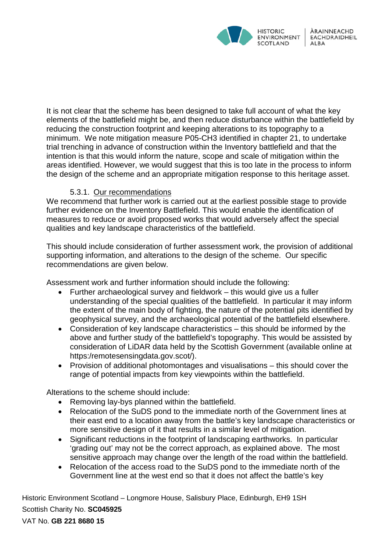

It is not clear that the scheme has been designed to take full account of what the key elements of the battlefield might be, and then reduce disturbance within the battlefield by reducing the construction footprint and keeping alterations to its topography to a minimum. We note mitigation measure P05-CH3 identified in chapter 21, to undertake trial trenching in advance of construction within the Inventory battlefield and that the intention is that this would inform the nature, scope and scale of mitigation within the areas identified. However, we would suggest that this is too late in the process to inform the design of the scheme and an appropriate mitigation response to this heritage asset.

# 5.3.1. Our recommendations

We recommend that further work is carried out at the earliest possible stage to provide further evidence on the Inventory Battlefield. This would enable the identification of measures to reduce or avoid proposed works that would adversely affect the special qualities and key landscape characteristics of the battlefield.

This should include consideration of further assessment work, the provision of additional supporting information, and alterations to the design of the scheme. Our specific recommendations are given below.

Assessment work and further information should include the following:

- Further archaeological survey and fieldwork this would give us a fuller understanding of the special qualities of the battlefield. In particular it may inform the extent of the main body of fighting, the nature of the potential pits identified by geophysical survey, and the archaeological potential of the battlefield elsewhere.
- Consideration of key landscape characteristics this should be informed by the above and further study of the battlefield's topography. This would be assisted by consideration of LiDAR data held by the Scottish Government (available online at [https:/remotesensingdata.gov.scot/\)](https://remotesensingdata.gov.scot/).
- Provision of additional photomontages and visualisations this should cover the range of potential impacts from key viewpoints within the battlefield.

Alterations to the scheme should include:

- Removing lay-bys planned within the battlefield.
- Relocation of the SuDS pond to the immediate north of the Government lines at their east end to a location away from the battle's key landscape characteristics or more sensitive design of it that results in a similar level of mitigation.
- Significant reductions in the footprint of landscaping earthworks. In particular 'grading out' may not be the correct approach, as explained above. The most sensitive approach may change over the length of the road within the battlefield.
- Relocation of the access road to the SuDS pond to the immediate north of the Government line at the west end so that it does not affect the battle's key

Historic Environment Scotland – Longmore House, Salisbury Place, Edinburgh, EH9 1SH Scottish Charity No. **SC045925**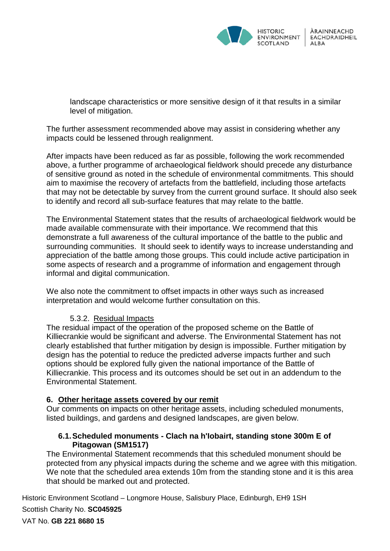

landscape characteristics or more sensitive design of it that results in a similar level of mitigation.

The further assessment recommended above may assist in considering whether any impacts could be lessened through realignment.

After impacts have been reduced as far as possible, following the work recommended above, a further programme of archaeological fieldwork should precede any disturbance of sensitive ground as noted in the schedule of environmental commitments. This should aim to maximise the recovery of artefacts from the battlefield, including those artefacts that may not be detectable by survey from the current ground surface. It should also seek to identify and record all sub-surface features that may relate to the battle.

The Environmental Statement states that the results of archaeological fieldwork would be made available commensurate with their importance. We recommend that this demonstrate a full awareness of the cultural importance of the battle to the public and surrounding communities. It should seek to identify ways to increase understanding and appreciation of the battle among those groups. This could include active participation in some aspects of research and a programme of information and engagement through informal and digital communication.

We also note the commitment to offset impacts in other ways such as increased interpretation and would welcome further consultation on this.

### 5.3.2. Residual Impacts

The residual impact of the operation of the proposed scheme on the Battle of Killiecrankie would be significant and adverse. The Environmental Statement has not clearly established that further mitigation by design is impossible. Further mitigation by design has the potential to reduce the predicted adverse impacts further and such options should be explored fully given the national importance of the Battle of Killiecrankie. This process and its outcomes should be set out in an addendum to the Environmental Statement.

### **6. Other heritage assets covered by our remit**

Our comments on impacts on other heritage assets, including scheduled monuments, listed buildings, and gardens and designed landscapes, are given below.

### **6.1.Scheduled monuments - Clach na h'Iobairt, standing stone 300m E of Pitagowan (SM1517)**

The Environmental Statement recommends that this scheduled monument should be protected from any physical impacts during the scheme and we agree with this mitigation. We note that the scheduled area extends 10m from the standing stone and it is this area that should be marked out and protected.

Historic Environment Scotland – Longmore House, Salisbury Place, Edinburgh, EH9 1SH Scottish Charity No. **SC045925**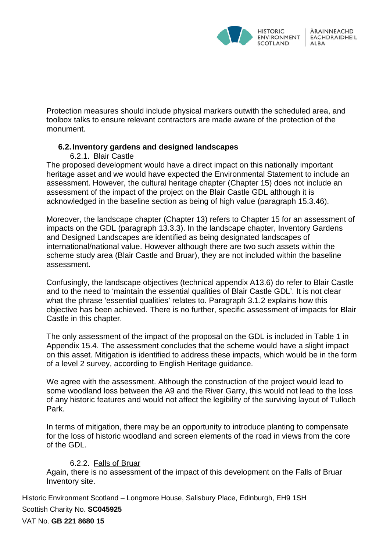

Protection measures should include physical markers outwith the scheduled area, and toolbox talks to ensure relevant contractors are made aware of the protection of the monument.

### **6.2.Inventory gardens and designed landscapes**

6.2.1. Blair Castle

The proposed development would have a direct impact on this nationally important heritage asset and we would have expected the Environmental Statement to include an assessment. However, the cultural heritage chapter (Chapter 15) does not include an assessment of the impact of the project on the Blair Castle GDL although it is acknowledged in the baseline section as being of high value (paragraph 15.3.46).

Moreover, the landscape chapter (Chapter 13) refers to Chapter 15 for an assessment of impacts on the GDL (paragraph 13.3.3). In the landscape chapter, Inventory Gardens and Designed Landscapes are identified as being designated landscapes of international/national value. However although there are two such assets within the scheme study area (Blair Castle and Bruar), they are not included within the baseline assessment.

Confusingly, the landscape objectives (technical appendix A13.6) do refer to Blair Castle and to the need to 'maintain the essential qualities of Blair Castle GDL'. It is not clear what the phrase 'essential qualities' relates to. Paragraph 3.1.2 explains how this objective has been achieved. There is no further, specific assessment of impacts for Blair Castle in this chapter.

The only assessment of the impact of the proposal on the GDL is included in Table 1 in Appendix 15.4. The assessment concludes that the scheme would have a slight impact on this asset. Mitigation is identified to address these impacts, which would be in the form of a level 2 survey, according to English Heritage guidance.

We agree with the assessment. Although the construction of the project would lead to some woodland loss between the A9 and the River Garry, this would not lead to the loss of any historic features and would not affect the legibility of the surviving layout of Tulloch Park.

In terms of mitigation, there may be an opportunity to introduce planting to compensate for the loss of historic woodland and screen elements of the road in views from the core of the GDL.

### 6.2.2. Falls of Bruar

Again, there is no assessment of the impact of this development on the Falls of Bruar Inventory site.

Historic Environment Scotland – Longmore House, Salisbury Place, Edinburgh, EH9 1SH Scottish Charity No. **SC045925**